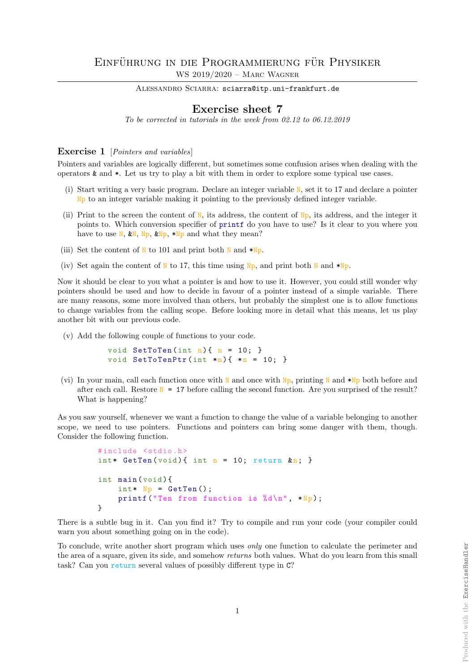ALESSANDRO SCIARRA: sciarra@itp.uni-frankfurt.de

# Exercise sheet 7

To be corrected in tutorials in the week from 02.12 to 06.12.2019

### Exercise 1 [*Pointers and variables*]

Pointers and variables are logically different, but sometimes some confusion arises when dealing with the operators & and \*. Let us try to play a bit with them in order to explore some typical use cases.

- (i) Start writing a very basic program. Declare an integer variable N, set it to 17 and declare a pointer Np to an integer variable making it pointing to the previously defined integer variable.
- (ii) Print to the screen the content of  $N$ , its address, the content of  $N<sub>P</sub>$ , its address, and the integer it points to. Which conversion specifier of printf do you have to use? Is it clear to you where you have to use N,  $kN$ ,  $Np$ ,  $kNp$ ,  $Np$  and what they mean?
- (iii) Set the content of N to 101 and print both N and  $\ast Np$ .
- (iv) Set again the content of N to 17, this time using  $N_p$ , and print both N and  $N_p$ .

Now it should be clear to you what a pointer is and how to use it. However, you could still wonder why pointers should be used and how to decide in favour of a pointer instead of a simple variable. There are many reasons, some more involved than others, but probably the simplest one is to allow functions to change variables from the calling scope. Before looking more in detail what this means, let us play another bit with our previous code.

(v) Add the following couple of functions to your code.

void SetToTen  $(int n) {n = 10; }$ void SetToTenPtr  $(int *n) { *n = 10; }$ 

(vi) In your main, call each function once with N and once with N<sub>p</sub>, printing N and  $*Np$  both before and after each call. Restore  $N = 17$  before calling the second function. Are you surprised of the result? What is happening?

As you saw yourself, whenever we want a function to change the value of a variable belonging to another scope, we need to use pointers. Functions and pointers can bring some danger with them, though. Consider the following function.

```
#include <stdio.h>
\text{int*} GetTen(void){ int n = 10; return &n; }
int main ( void ) {
     int* Np = GetTen();
     printf ("Ten from function is \lambda d \nightharpoonup", *Np);
}
```
There is a subtle bug in it. Can you find it? Try to compile and run your code (your compiler could warn you about something going on in the code).

To conclude, write another short program which uses only one function to calculate the perimeter and the area of a square, given its side, and somehow returns both values. What do you learn from this small task? Can you return several values of possibly different type in C?